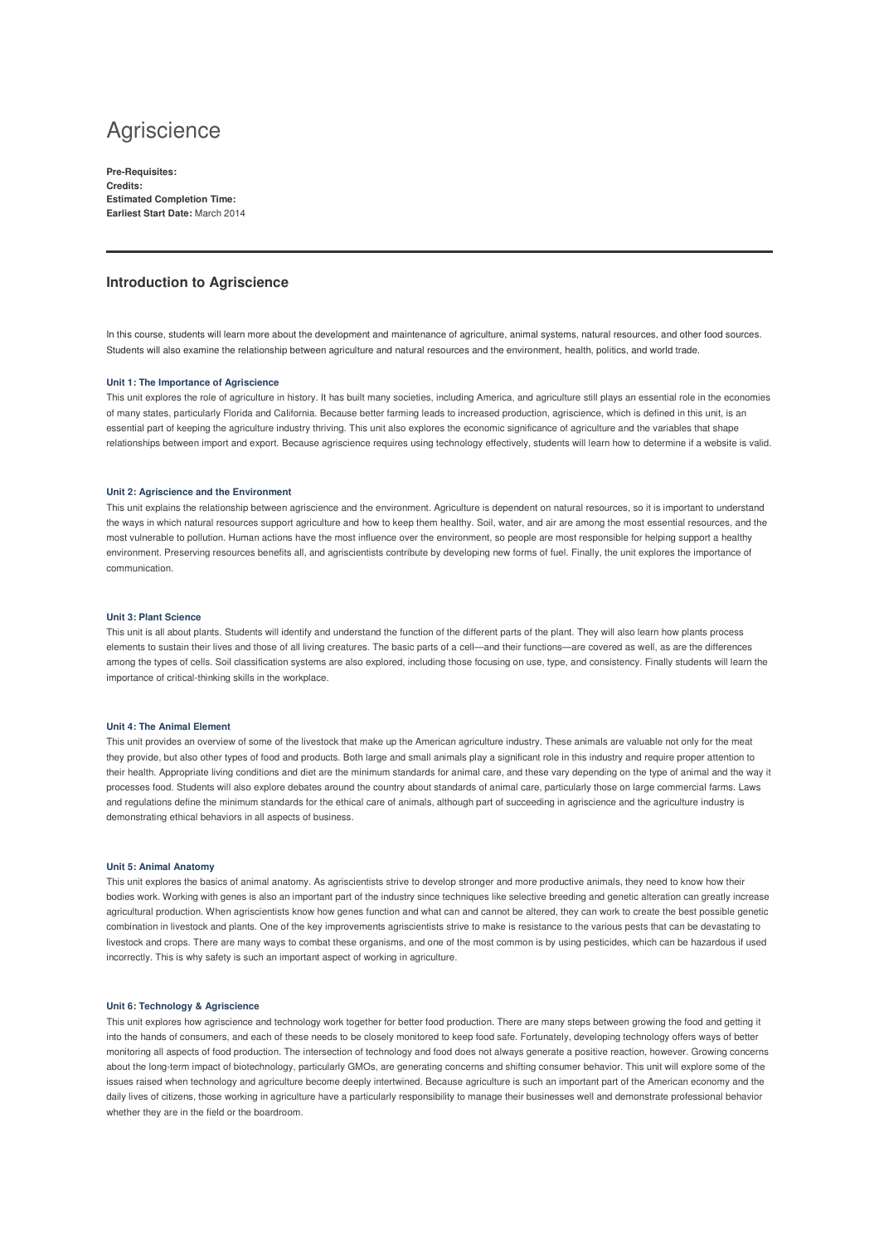# **Agriscience**

**Pre-Requisites: Credits: Estimated Completion Time: Earliest Start Date:** March 2014

## **Introduction to Agriscience**

In this course, students will learn more about the development and maintenance of agriculture, animal systems, natural resources, and other food sources. Students will also examine the relationship between agriculture and natural resources and the environment, health, politics, and world trade.

### **Unit 1: The Importance of Agriscience**

This unit explores the role of agriculture in history. It has built many societies, including America, and agriculture still plays an essential role in the economies of many states, particularly Florida and California. Because better farming leads to increased production, agriscience, which is defined in this unit, is an essential part of keeping the agriculture industry thriving. This unit also explores the economic significance of agriculture and the variables that shape relationships between import and export. Because agriscience requires using technology effectively, students will learn how to determine if a website is valid.

## **Unit 2: Agriscience and the Environment**

This unit explains the relationship between agriscience and the environment. Agriculture is dependent on natural resources, so it is important to understand the ways in which natural resources support agriculture and how to keep them healthy. Soil, water, and air are among the most essential resources, and the most vulnerable to pollution. Human actions have the most influence over the environment, so people are most responsible for helping support a healthy environment. Preserving resources benefits all, and agriscientists contribute by developing new forms of fuel. Finally, the unit explores the importance of communication.

#### **Unit 3: Plant Science**

This unit is all about plants. Students will identify and understand the function of the different parts of the plant. They will also learn how plants process elements to sustain their lives and those of all living creatures. The basic parts of a cell—and their functions—are covered as well, as are the differences among the types of cells. Soil classification systems are also explored, including those focusing on use, type, and consistency. Finally students will learn the importance of critical-thinking skills in the workplace.

## **Unit 4: The Animal Element**

This unit provides an overview of some of the livestock that make up the American agriculture industry. These animals are valuable not only for the meat they provide, but also other types of food and products. Both large and small animals play a significant role in this industry and require proper attention to their health. Appropriate living conditions and diet are the minimum standards for animal care, and these vary depending on the type of animal and the way it processes food. Students will also explore debates around the country about standards of animal care, particularly those on large commercial farms. Laws and regulations define the minimum standards for the ethical care of animals, although part of succeeding in agriscience and the agriculture industry is demonstrating ethical behaviors in all aspects of business.

## **Unit 5: Animal Anatomy**

This unit explores the basics of animal anatomy. As agriscientists strive to develop stronger and more productive animals, they need to know how their bodies work. Working with genes is also an important part of the industry since techniques like selective breeding and genetic alteration can greatly increase agricultural production. When agriscientists know how genes function and what can and cannot be altered, they can work to create the best possible genetic combination in livestock and plants. One of the key improvements agriscientists strive to make is resistance to the various pests that can be devastating to livestock and crops. There are many ways to combat these organisms, and one of the most common is by using pesticides, which can be hazardous if used incorrectly. This is why safety is such an important aspect of working in agriculture.

#### **Unit 6: Technology & Agriscience**

This unit explores how agriscience and technology work together for better food production. There are many steps between growing the food and getting it into the hands of consumers, and each of these needs to be closely monitored to keep food safe. Fortunately, developing technology offers ways of better monitoring all aspects of food production. The intersection of technology and food does not always generate a positive reaction, however. Growing concerns about the long-term impact of biotechnology, particularly GMOs, are generating concerns and shifting consumer behavior. This unit will explore some of the issues raised when technology and agriculture become deeply intertwined. Because agriculture is such an important part of the American economy and the daily lives of citizens, those working in agriculture have a particularly responsibility to manage their businesses well and demonstrate professional behavior whether they are in the field or the boardroom.